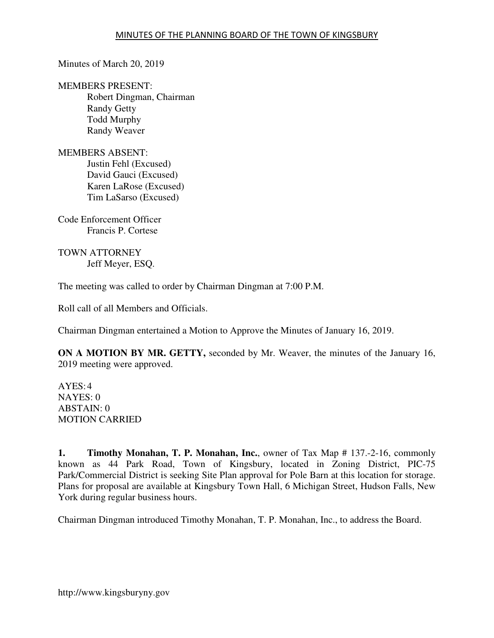## Minutes of March 20, 2019

MEMBERS PRESENT:

Robert Dingman, Chairman Randy Getty Todd Murphy Randy Weaver

MEMBERS ABSENT: Justin Fehl (Excused) David Gauci (Excused) Karen LaRose (Excused) Tim LaSarso (Excused)

Code Enforcement Officer Francis P. Cortese

TOWN ATTORNEY Jeff Meyer, ESQ.

The meeting was called to order by Chairman Dingman at 7:00 P.M.

Roll call of all Members and Officials.

Chairman Dingman entertained a Motion to Approve the Minutes of January 16, 2019.

**ON A MOTION BY MR. GETTY,** seconded by Mr. Weaver, the minutes of the January 16, 2019 meeting were approved.

AYES: 4 NAYES: 0 ABSTAIN: 0 MOTION CARRIED

**1. Timothy Monahan, T. P. Monahan, Inc.**, owner of Tax Map # 137.-2-16, commonly known as 44 Park Road, Town of Kingsbury, located in Zoning District, PIC-75 Park/Commercial District is seeking Site Plan approval for Pole Barn at this location for storage. Plans for proposal are available at Kingsbury Town Hall, 6 Michigan Street, Hudson Falls, New York during regular business hours.

Chairman Dingman introduced Timothy Monahan, T. P. Monahan, Inc., to address the Board.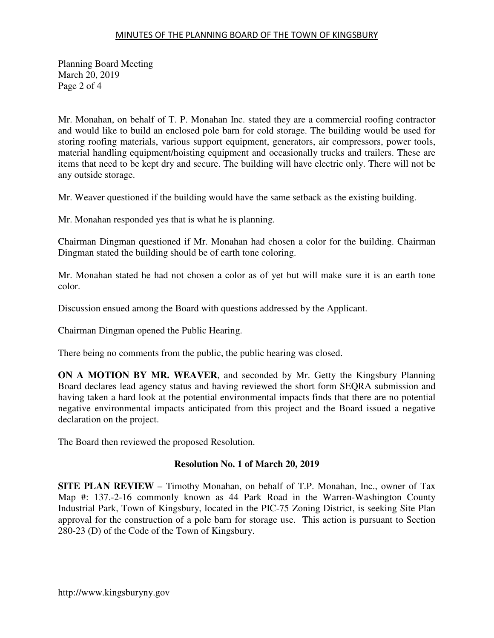## MINUTES OF THE PLANNING BOARD OF THE TOWN OF KINGSBURY

Planning Board Meeting March 20, 2019 Page 2 of 4

Mr. Monahan, on behalf of T. P. Monahan Inc. stated they are a commercial roofing contractor and would like to build an enclosed pole barn for cold storage. The building would be used for storing roofing materials, various support equipment, generators, air compressors, power tools, material handling equipment/hoisting equipment and occasionally trucks and trailers. These are items that need to be kept dry and secure. The building will have electric only. There will not be any outside storage.

Mr. Weaver questioned if the building would have the same setback as the existing building.

Mr. Monahan responded yes that is what he is planning.

Chairman Dingman questioned if Mr. Monahan had chosen a color for the building. Chairman Dingman stated the building should be of earth tone coloring.

Mr. Monahan stated he had not chosen a color as of yet but will make sure it is an earth tone color.

Discussion ensued among the Board with questions addressed by the Applicant.

Chairman Dingman opened the Public Hearing.

There being no comments from the public, the public hearing was closed.

**ON A MOTION BY MR. WEAVER**, and seconded by Mr. Getty the Kingsbury Planning Board declares lead agency status and having reviewed the short form SEQRA submission and having taken a hard look at the potential environmental impacts finds that there are no potential negative environmental impacts anticipated from this project and the Board issued a negative declaration on the project.

The Board then reviewed the proposed Resolution.

# **Resolution No. 1 of March 20, 2019**

**SITE PLAN REVIEW** – Timothy Monahan, on behalf of T.P. Monahan, Inc., owner of Tax Map #: 137.-2-16 commonly known as 44 Park Road in the Warren-Washington County Industrial Park, Town of Kingsbury, located in the PIC-75 Zoning District, is seeking Site Plan approval for the construction of a pole barn for storage use. This action is pursuant to Section 280-23 (D) of the Code of the Town of Kingsbury.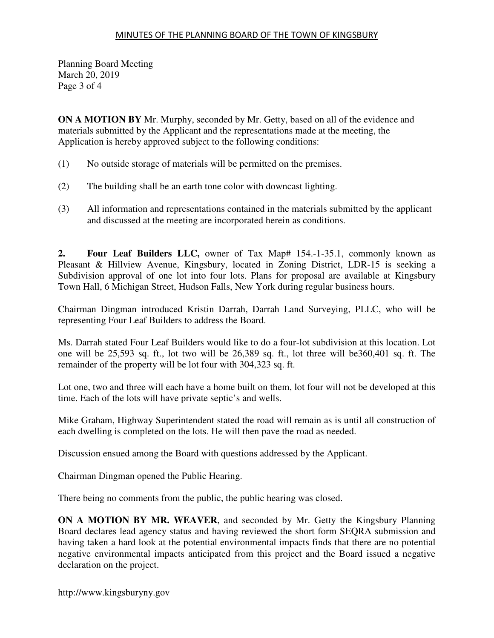### MINUTES OF THE PLANNING BOARD OF THE TOWN OF KINGSBURY

Planning Board Meeting March 20, 2019 Page 3 of 4

**ON A MOTION BY** Mr. Murphy, seconded by Mr. Getty, based on all of the evidence and materials submitted by the Applicant and the representations made at the meeting, the Application is hereby approved subject to the following conditions:

- (1) No outside storage of materials will be permitted on the premises.
- (2) The building shall be an earth tone color with downcast lighting.
- (3) All information and representations contained in the materials submitted by the applicant and discussed at the meeting are incorporated herein as conditions.

**2. Four Leaf Builders LLC,** owner of Tax Map# 154.-1-35.1, commonly known as Pleasant & Hillview Avenue, Kingsbury, located in Zoning District, LDR-15 is seeking a Subdivision approval of one lot into four lots. Plans for proposal are available at Kingsbury Town Hall, 6 Michigan Street, Hudson Falls, New York during regular business hours.

Chairman Dingman introduced Kristin Darrah, Darrah Land Surveying, PLLC, who will be representing Four Leaf Builders to address the Board.

Ms. Darrah stated Four Leaf Builders would like to do a four-lot subdivision at this location. Lot one will be 25,593 sq. ft., lot two will be 26,389 sq. ft., lot three will be360,401 sq. ft. The remainder of the property will be lot four with 304,323 sq. ft.

Lot one, two and three will each have a home built on them, lot four will not be developed at this time. Each of the lots will have private septic's and wells.

Mike Graham, Highway Superintendent stated the road will remain as is until all construction of each dwelling is completed on the lots. He will then pave the road as needed.

Discussion ensued among the Board with questions addressed by the Applicant.

Chairman Dingman opened the Public Hearing.

There being no comments from the public, the public hearing was closed.

**ON A MOTION BY MR. WEAVER**, and seconded by Mr. Getty the Kingsbury Planning Board declares lead agency status and having reviewed the short form SEQRA submission and having taken a hard look at the potential environmental impacts finds that there are no potential negative environmental impacts anticipated from this project and the Board issued a negative declaration on the project.

http://www.kingsburyny.gov